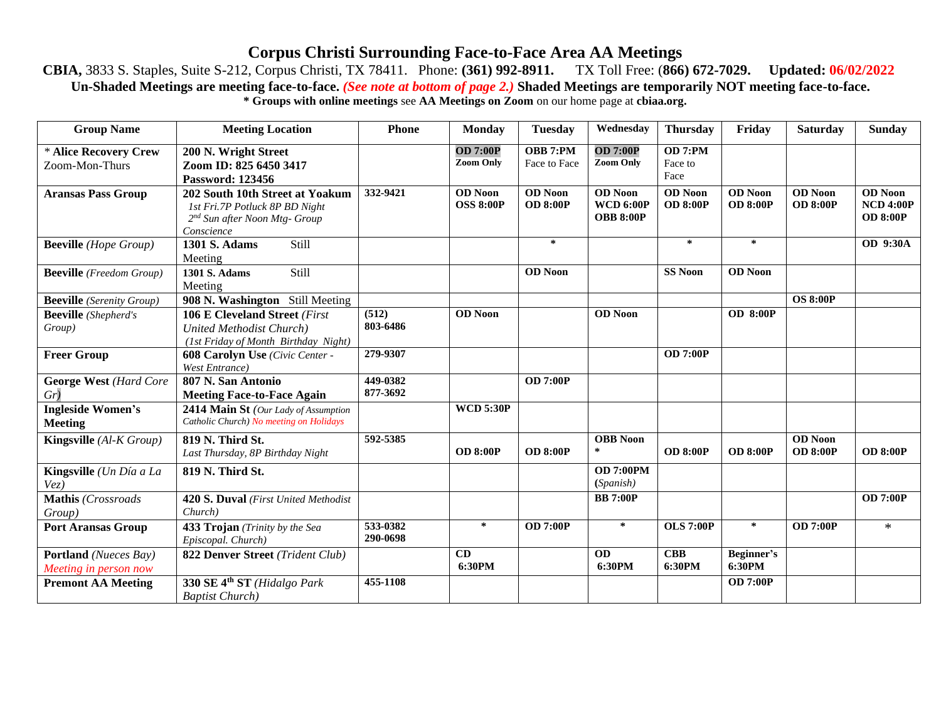## **Corpus Christi Surrounding Face-to-Face Area AA Meetings**

## **CBIA,** 3833 S. Staples, Suite S-212, Corpus Christi, TX 78411. Phone: **(361) 992-8911.** TX Toll Free: (**866) 672-7029. Updated: 06/02/2022 Un-Shaded Meetings are meeting face-to-face.** *(See note at bottom of page 2.)* **Shaded Meetings are temporarily NOT meeting face-to-face. \* Groups with online meetings** see **AA Meetings on Zoom** on our home page at **cbiaa.org.**

| <b>Group Name</b>                              | <b>Meeting Location</b>                                                                                                      | <b>Phone</b>         | <b>Monday</b>                            | <b>Tuesday</b>                    | Wednesday                                              | <b>Thursday</b>                   | Friday                            | Saturday                          | <b>Sunday</b>                                         |
|------------------------------------------------|------------------------------------------------------------------------------------------------------------------------------|----------------------|------------------------------------------|-----------------------------------|--------------------------------------------------------|-----------------------------------|-----------------------------------|-----------------------------------|-------------------------------------------------------|
| * Alice Recovery Crew                          | 200 N. Wright Street                                                                                                         |                      | <b>OD 7:00P</b>                          | OBB 7:PM                          | <b>OD 7:00P</b>                                        | OD 7:PM                           |                                   |                                   |                                                       |
| Zoom-Mon-Thurs                                 | Zoom ID: 825 6450 3417<br><b>Password: 123456</b>                                                                            |                      | <b>Zoom Only</b>                         | Face to Face                      | <b>Zoom Only</b>                                       | Face to<br>Face                   |                                   |                                   |                                                       |
| <b>Aransas Pass Group</b>                      | 202 South 10th Street at Yoakum<br>1st Fri.7P Potluck 8P BD Night<br>2 <sup>nd</sup> Sun after Noon Mtg- Group<br>Conscience | 332-9421             | $\overline{OD}$ Noon<br><b>OSS 8:00P</b> | <b>OD</b> Noon<br><b>OD 8:00P</b> | <b>OD</b> Noon<br><b>WCD 6:00P</b><br><b>OBB 8:00P</b> | <b>OD</b> Noon<br><b>OD 8:00P</b> | <b>OD</b> Noon<br><b>OD 8:00P</b> | <b>OD</b> Noon<br><b>OD 8:00P</b> | <b>OD</b> Noon<br><b>NCD 4:00P</b><br><b>OD 8:00P</b> |
| <b>Beeville</b> (Hope Group)                   | <b>1301 S. Adams</b><br>Still<br>Meeting                                                                                     |                      |                                          | $\ast$                            |                                                        | ∗                                 | *                                 |                                   | OD 9:30A                                              |
| <b>Beeville</b> (Freedom Group)                | Still<br>1301 S. Adams<br>Meeting                                                                                            |                      |                                          | <b>OD</b> Noon                    |                                                        | <b>SS Noon</b>                    | <b>OD</b> Noon                    |                                   |                                                       |
| <b>Beeville</b> (Serenity Group)               | 908 N. Washington Still Meeting                                                                                              |                      |                                          |                                   |                                                        |                                   |                                   | <b>OS 8:00P</b>                   |                                                       |
| <b>Beeville</b> (Shepherd's<br>Group)          | <b>106 E Cleveland Street (First</b><br><b>United Methodist Church)</b><br>(1st Friday of Month Birthday Night)              | (512)<br>803-6486    | <b>OD</b> Noon                           |                                   | <b>OD</b> Noon                                         |                                   | <b>OD 8:00P</b>                   |                                   |                                                       |
| <b>Freer Group</b>                             | 608 Carolyn Use (Civic Center -<br><b>West Entrance</b> )                                                                    | 279-9307             |                                          |                                   |                                                        | <b>OD 7:00P</b>                   |                                   |                                   |                                                       |
| <b>George West (Hard Core</b><br>$Gr$ )        | 807 N. San Antonio<br><b>Meeting Face-to-Face Again</b>                                                                      | 449-0382<br>877-3692 |                                          | $\overline{OD}$ 7:00P             |                                                        |                                   |                                   |                                   |                                                       |
| <b>Ingleside Women's</b><br><b>Meeting</b>     | 2414 Main St (Our Lady of Assumption<br>Catholic Church) No meeting on Holidays                                              |                      | <b>WCD 5:30P</b>                         |                                   |                                                        |                                   |                                   |                                   |                                                       |
| Kingsville (Al-K Group)                        | 819 N. Third St.<br>Last Thursday, 8P Birthday Night                                                                         | 592-5385             | <b>OD 8:00P</b>                          | <b>OD 8:00P</b>                   | <b>OBB</b> Noon<br>*                                   | <b>OD 8:00P</b>                   | <b>OD 8:00P</b>                   | <b>OD</b> Noon<br><b>OD 8:00P</b> | <b>OD 8:00P</b>                                       |
| Kingsville (Un Día a La<br>Vez)                | 819 N. Third St.                                                                                                             |                      |                                          |                                   | <b>OD 7:00PM</b><br>(Spanish)                          |                                   |                                   |                                   |                                                       |
| Mathis (Crossroads<br>Group)                   | 420 S. Duval (First United Methodist<br>Church)                                                                              |                      |                                          |                                   | <b>BB</b> 7:00P                                        |                                   |                                   |                                   | <b>OD 7:00P</b>                                       |
| <b>Port Aransas Group</b>                      | 433 Trojan (Trinity by the Sea<br>Episcopal. Church)                                                                         | 533-0382<br>290-0698 | ∗                                        | <b>OD 7:00P</b>                   | $\ast$                                                 | <b>OLS 7:00P</b>                  | *                                 | <b>OD 7:00P</b>                   | $\ast$                                                |
| Portland (Nueces Bay)<br>Meeting in person now | 822 Denver Street (Trident Club)                                                                                             |                      | CD<br>6:30PM                             |                                   | <b>OD</b><br>6:30PM                                    | <b>CBB</b><br>6:30PM              | Beginner's<br>6:30PM              |                                   |                                                       |
| <b>Premont AA Meeting</b>                      | 330 SE 4 <sup>th</sup> ST (Hidalgo Park<br><b>Baptist Church</b> )                                                           | 455-1108             |                                          |                                   |                                                        |                                   | <b>OD 7:00P</b>                   |                                   |                                                       |